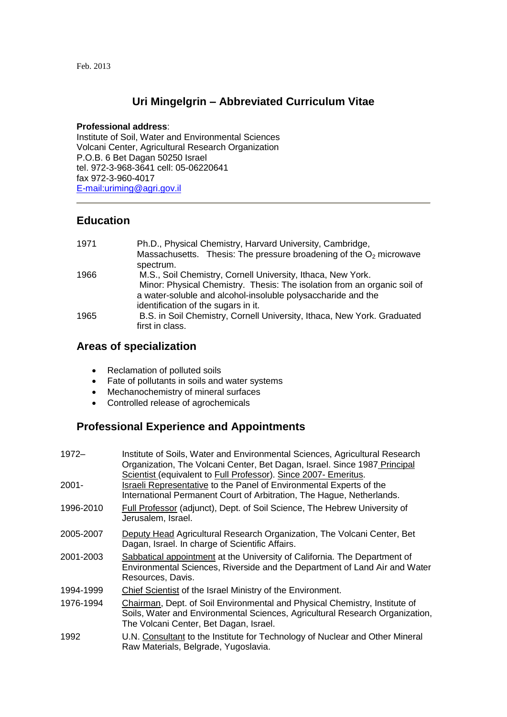#### Feb. 2013

### **Uri Mingelgrin – Abbreviated Curriculum Vitae**

#### **Professional address**:

Institute of Soil, Water and Environmental Sciences Volcani Center, Agricultural Research Organization P.O.B. 6 Bet Dagan 50250 Israel tel. 972-3-968-3641 cell: 05-06220641 fax 972-3-960-4017 [E-mail:uriming@agri.gov.il](mailto:uriming@agri.gov.il)

### **Education**

| 1971 | Ph.D., Physical Chemistry, Harvard University, Cambridge,                |
|------|--------------------------------------------------------------------------|
|      | Massachusetts. Thesis: The pressure broadening of the $O2$ microwave     |
|      | spectrum.                                                                |
| 1966 | M.S., Soil Chemistry, Cornell University, Ithaca, New York.              |
|      | Minor: Physical Chemistry. Thesis: The isolation from an organic soil of |
|      | a water-soluble and alcohol-insoluble polysaccharide and the             |
|      | identification of the sugars in it.                                      |
| 1965 | B.S. in Soil Chemistry, Cornell University, Ithaca, New York. Graduated  |
|      | first in class.                                                          |

### **Areas of specialization**

- Reclamation of polluted soils
- Fate of pollutants in soils and water systems
- Mechanochemistry of mineral surfaces
- Controlled release of agrochemicals

## **Professional Experience and Appointments**

| 1972-     | Institute of Soils, Water and Environmental Sciences, Agricultural Research<br>Organization, The Volcani Center, Bet Dagan, Israel. Since 1987 Principal<br>Scientist (equivalent to Full Professor). Since 2007- Emeritus. |
|-----------|-----------------------------------------------------------------------------------------------------------------------------------------------------------------------------------------------------------------------------|
| $2001 -$  | Israeli Representative to the Panel of Environmental Experts of the<br>International Permanent Court of Arbitration, The Hague, Netherlands.                                                                                |
| 1996-2010 | Full Professor (adjunct), Dept. of Soil Science, The Hebrew University of<br>Jerusalem, Israel.                                                                                                                             |
| 2005-2007 | Deputy Head Agricultural Research Organization, The Volcani Center, Bet<br>Dagan, Israel. In charge of Scientific Affairs.                                                                                                  |
| 2001-2003 | Sabbatical appointment at the University of California. The Department of<br>Environmental Sciences, Riverside and the Department of Land Air and Water<br>Resources, Davis.                                                |
| 1994-1999 | Chief Scientist of the Israel Ministry of the Environment.                                                                                                                                                                  |
| 1976-1994 | Chairman, Dept. of Soil Environmental and Physical Chemistry, Institute of<br>Soils, Water and Environmental Sciences, Agricultural Research Organization,<br>The Volcani Center, Bet Dagan, Israel.                        |
| 1992      | U.N. Consultant to the Institute for Technology of Nuclear and Other Mineral<br>Raw Materials, Belgrade, Yugoslavia.                                                                                                        |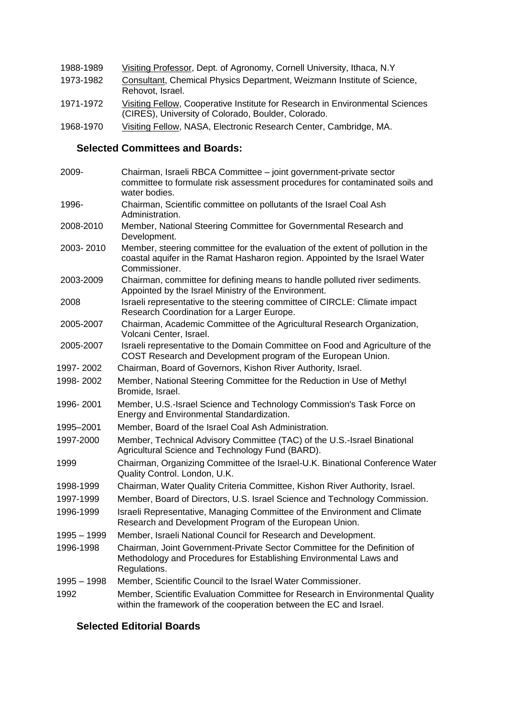| 1988-1989 | Visiting Professor, Dept. of Agronomy, Cornell University, Ithaca, N.Y.                     |
|-----------|---------------------------------------------------------------------------------------------|
| 1973-1982 | Consultant, Chemical Physics Department, Weizmann Institute of Science,<br>Rehovot, Israel. |
| 1971-1972 | Visiting Fellow, Cooperative Institute for Research in Environmental Sciences               |

- (CIRES), University of Colorado, Boulder, Colorado.
- 1968-1970 Visiting Fellow, NASA, Electronic Research Center, Cambridge, MA.

## **Selected Committees and Boards:**

| 2009-       | Chairman, Israeli RBCA Committee - joint government-private sector<br>committee to formulate risk assessment procedures for contaminated soils and<br>water bodies.             |
|-------------|---------------------------------------------------------------------------------------------------------------------------------------------------------------------------------|
| 1996-       | Chairman, Scientific committee on pollutants of the Israel Coal Ash<br>Administration.                                                                                          |
| 2008-2010   | Member, National Steering Committee for Governmental Research and<br>Development.                                                                                               |
| 2003-2010   | Member, steering committee for the evaluation of the extent of pollution in the<br>coastal aquifer in the Ramat Hasharon region. Appointed by the Israel Water<br>Commissioner. |
| 2003-2009   | Chairman, committee for defining means to handle polluted river sediments.<br>Appointed by the Israel Ministry of the Environment.                                              |
| 2008        | Israeli representative to the steering committee of CIRCLE: Climate impact<br>Research Coordination for a Larger Europe.                                                        |
| 2005-2007   | Chairman, Academic Committee of the Agricultural Research Organization,<br>Volcani Center, Israel.                                                                              |
| 2005-2007   | Israeli representative to the Domain Committee on Food and Agriculture of the<br>COST Research and Development program of the European Union.                                   |
| 1997-2002   | Chairman, Board of Governors, Kishon River Authority, Israel.                                                                                                                   |
| 1998-2002   | Member, National Steering Committee for the Reduction in Use of Methyl<br>Bromide, Israel.                                                                                      |
| 1996-2001   | Member, U.S.-Israel Science and Technology Commission's Task Force on<br>Energy and Environmental Standardization.                                                              |
| 1995–2001   | Member, Board of the Israel Coal Ash Administration.                                                                                                                            |
| 1997-2000   | Member, Technical Advisory Committee (TAC) of the U.S.-Israel Binational<br>Agricultural Science and Technology Fund (BARD).                                                    |
| 1999        | Chairman, Organizing Committee of the Israel-U.K. Binational Conference Water<br>Quality Control. London, U.K.                                                                  |
| 1998-1999   | Chairman, Water Quality Criteria Committee, Kishon River Authority, Israel.                                                                                                     |
| 1997-1999   | Member, Board of Directors, U.S. Israel Science and Technology Commission.                                                                                                      |
| 1996-1999   | Israeli Representative, Managing Committee of the Environment and Climate<br>Research and Development Program of the European Union.                                            |
| 1995 - 1999 | Member, Israeli National Council for Research and Development.                                                                                                                  |
| 1996-1998   | Chairman, Joint Government-Private Sector Committee for the Definition of<br>Methodology and Procedures for Establishing Environmental Laws and<br>Regulations.                 |
| 1995 - 1998 | Member, Scientific Council to the Israel Water Commissioner.                                                                                                                    |
| 1992        | Member, Scientific Evaluation Committee for Research in Environmental Quality<br>within the framework of the cooperation between the EC and Israel.                             |

### **Selected Editorial Boards**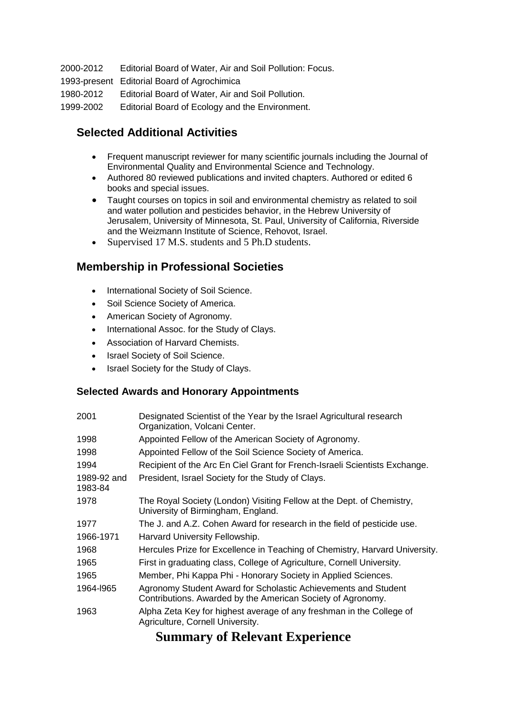2000-2012 Editorial Board of Water, Air and Soil Pollution: Focus. 1993-present Editorial Board of Agrochimica 1980-2012 Editorial Board of Water, Air and Soil Pollution. 1999-2002 Editorial Board of Ecology and the Environment.

# **Selected Additional Activities**

- Frequent manuscript reviewer for many scientific journals including the Journal of Environmental Quality and Environmental Science and Technology.
- Authored 80 reviewed publications and invited chapters. Authored or edited 6 books and special issues.
- Taught courses on topics in soil and environmental chemistry as related to soil and water pollution and pesticides behavior, in the Hebrew University of Jerusalem, University of Minnesota, St. Paul, University of California, Riverside and the Weizmann Institute of Science, Rehovot, Israel.
- Supervised 17 M.S. students and 5 Ph.D students.

## **Membership in Professional Societies**

- International Society of Soil Science.
- Soil Science Society of America.
- American Society of Agronomy.
- International Assoc. for the Study of Clays.
- Association of Harvard Chemists.
- Israel Society of Soil Science.
- Israel Society for the Study of Clays.

### **Selected Awards and Honorary Appointments**

| 2001                   | Designated Scientist of the Year by the Israel Agricultural research<br>Organization, Volcani Center.                         |
|------------------------|-------------------------------------------------------------------------------------------------------------------------------|
| 1998                   | Appointed Fellow of the American Society of Agronomy.                                                                         |
| 1998                   | Appointed Fellow of the Soil Science Society of America.                                                                      |
| 1994                   | Recipient of the Arc En Ciel Grant for French-Israeli Scientists Exchange.                                                    |
| 1989-92 and<br>1983-84 | President, Israel Society for the Study of Clays.                                                                             |
| 1978                   | The Royal Society (London) Visiting Fellow at the Dept. of Chemistry,<br>University of Birmingham, England.                   |
| 1977                   | The J. and A.Z. Cohen Award for research in the field of pesticide use.                                                       |
| 1966-1971              | Harvard University Fellowship.                                                                                                |
| 1968                   | Hercules Prize for Excellence in Teaching of Chemistry, Harvard University.                                                   |
| 1965                   | First in graduating class, College of Agriculture, Cornell University.                                                        |
| 1965                   | Member, Phi Kappa Phi - Honorary Society in Applied Sciences.                                                                 |
| 1964-1965              | Agronomy Student Award for Scholastic Achievements and Student<br>Contributions. Awarded by the American Society of Agronomy. |
| 1963                   | Alpha Zeta Key for highest average of any freshman in the College of<br>Agriculture, Cornell University.                      |

# **Summary of Relevant Experience**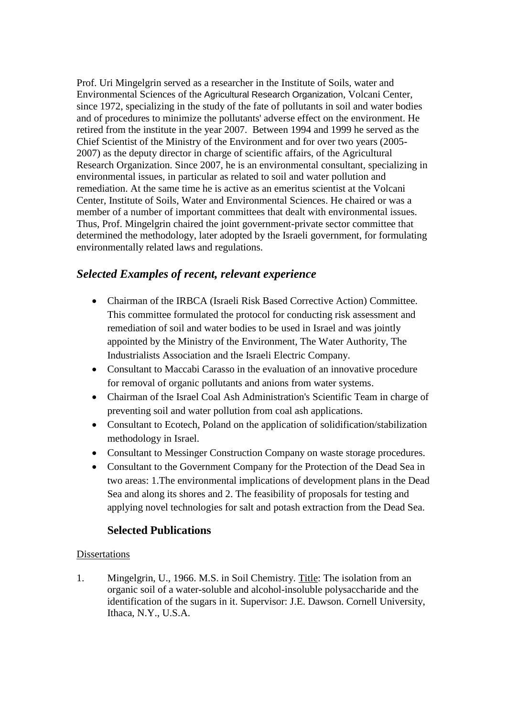Prof. Uri Mingelgrin served as a researcher in the Institute of Soils, water and Environmental Sciences of the Agricultural Research Organization, Volcani Center, since 1972, specializing in the study of the fate of pollutants in soil and water bodies and of procedures to minimize the pollutants' adverse effect on the environment. He retired from the institute in the year 2007. Between 1994 and 1999 he served as the Chief Scientist of the Ministry of the Environment and for over two years (2005- 2007) as the deputy director in charge of scientific affairs, of the Agricultural Research Organization. Since 2007, he is an environmental consultant, specializing in environmental issues, in particular as related to soil and water pollution and remediation. At the same time he is active as an emeritus scientist at the Volcani Center, Institute of Soils, Water and Environmental Sciences. He chaired or was a member of a number of important committees that dealt with environmental issues. Thus, Prof. Mingelgrin chaired the joint government-private sector committee that determined the methodology, later adopted by the Israeli government, for formulating environmentally related laws and regulations.

## *Selected Examples of recent, relevant experience*

- Chairman of the IRBCA (Israeli Risk Based Corrective Action) Committee. This committee formulated the protocol for conducting risk assessment and remediation of soil and water bodies to be used in Israel and was jointly appointed by the Ministry of the Environment, The Water Authority, The Industrialists Association and the Israeli Electric Company.
- Consultant to Maccabi Carasso in the evaluation of an innovative procedure for removal of organic pollutants and anions from water systems.
- Chairman of the Israel Coal Ash Administration's Scientific Team in charge of preventing soil and water pollution from coal ash applications.
- Consultant to Ecotech, Poland on the application of solidification/stabilization methodology in Israel.
- Consultant to Messinger Construction Company on waste storage procedures.
- Consultant to the Government Company for the Protection of the Dead Sea in two areas: 1.The environmental implications of development plans in the Dead Sea and along its shores and 2. The feasibility of proposals for testing and applying novel technologies for salt and potash extraction from the Dead Sea.

### **Selected Publications**

### Dissertations

1. Mingelgrin, U., 1966. M.S. in Soil Chemistry. Title: The isolation from an organic soil of a water-soluble and alcohol-insoluble polysaccharide and the identification of the sugars in it. Supervisor: J.E. Dawson. Cornell University, Ithaca, N.Y., U.S.A.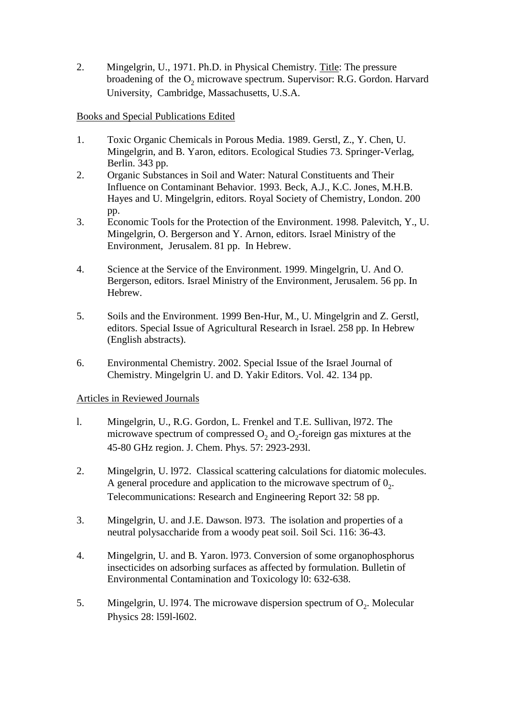2. Mingelgrin, U., 1971. Ph.D. in Physical Chemistry. Title: The pressure broadening of the  $O_2$  microwave spectrum. Supervisor: R.G. Gordon. Harvard University, Cambridge, Massachusetts, U.S.A.

### Books and Special Publications Edited

- 1. Toxic Organic Chemicals in Porous Media. 1989. Gerstl, Z., Y. Chen, U. Mingelgrin, and B. Yaron, editors. Ecological Studies 73. Springer-Verlag, Berlin. 343 pp.
- 2. Organic Substances in Soil and Water: Natural Constituents and Their Influence on Contaminant Behavior. 1993. Beck, A.J., K.C. Jones, M.H.B. Hayes and U. Mingelgrin, editors. Royal Society of Chemistry, London. 200 pp.
- 3. Economic Tools for the Protection of the Environment. 1998. Palevitch, Y., U. Mingelgrin, O. Bergerson and Y. Arnon, editors. Israel Ministry of the Environment, Jerusalem. 81 pp. In Hebrew.
- 4. Science at the Service of the Environment. 1999. Mingelgrin, U. And O. Bergerson, editors. Israel Ministry of the Environment, Jerusalem. 56 pp. In Hebrew.
- 5. Soils and the Environment. 1999 Ben-Hur, M., U. Mingelgrin and Z. Gerstl, editors. Special Issue of Agricultural Research in Israel. 258 pp. In Hebrew (English abstracts).
- 6. Environmental Chemistry. 2002. Special Issue of the Israel Journal of Chemistry. Mingelgrin U. and D. Yakir Editors. Vol. 42. 134 pp.

### Articles in Reviewed Journals

- l. Mingelgrin, U., R.G. Gordon, L. Frenkel and T.E. Sullivan, l972. The microwave spectrum of compressed  $O_2$  and  $O_2$ -foreign gas mixtures at the 45-80 GHz region. J. Chem. Phys. 57: 2923-293l.
- 2. Mingelgrin, U. l972. Classical scattering calculations for diatomic molecules. A general procedure and application to the microwave spectrum of  $0<sub>2</sub>$ . Telecommunications: Research and Engineering Report 32: 58 pp.
- 3. Mingelgrin, U. and J.E. Dawson. l973. The isolation and properties of a neutral polysaccharide from a woody peat soil. Soil Sci. 116: 36-43.
- 4. Mingelgrin, U. and B. Yaron. l973. Conversion of some organophosphorus insecticides on adsorbing surfaces as affected by formulation. Bulletin of Environmental Contamination and Toxicology l0: 632-638.
- 5. Mingelgrin, U. 1974. The microwave dispersion spectrum of  $O_2$ . Molecular Physics 28: l59l-l602.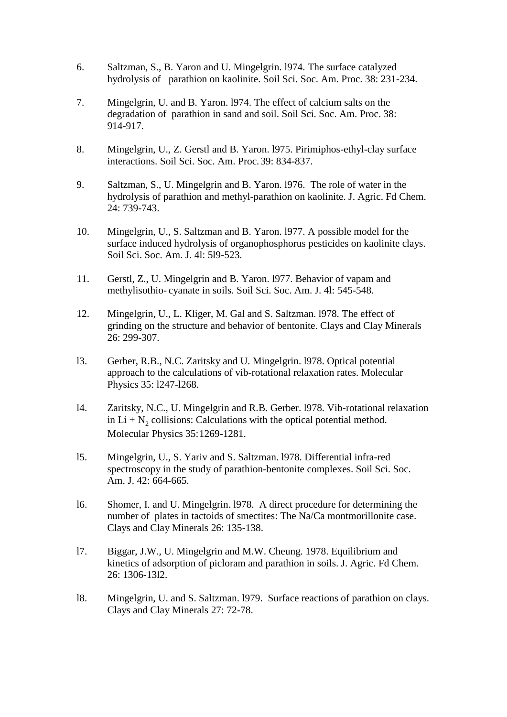- 6. Saltzman, S., B. Yaron and U. Mingelgrin. l974. The surface catalyzed hydrolysis of parathion on kaolinite. Soil Sci. Soc. Am. Proc. 38: 231-234.
- 7. Mingelgrin, U. and B. Yaron. l974. The effect of calcium salts on the degradation of parathion in sand and soil. Soil Sci. Soc. Am. Proc. 38: 914-917.
- 8. Mingelgrin, U., Z. Gerstl and B. Yaron. l975. Pirimiphos-ethyl-clay surface interactions. Soil Sci. Soc. Am. Proc. 39: 834-837.
- 9. Saltzman, S., U. Mingelgrin and B. Yaron. l976. The role of water in the hydrolysis of parathion and methyl-parathion on kaolinite. J. Agric. Fd Chem. 24: 739-743.
- 10. Mingelgrin, U., S. Saltzman and B. Yaron. l977. A possible model for the surface induced hydrolysis of organophosphorus pesticides on kaolinite clays. Soil Sci. Soc. Am. J. 4l: 5l9-523.
- 11. Gerstl, Z., U. Mingelgrin and B. Yaron. l977. Behavior of vapam and methylisothio- cyanate in soils. Soil Sci. Soc. Am. J. 4l: 545-548.
- 12. Mingelgrin, U., L. Kliger, M. Gal and S. Saltzman. l978. The effect of grinding on the structure and behavior of bentonite. Clays and Clay Minerals 26: 299-307.
- l3. Gerber, R.B., N.C. Zaritsky and U. Mingelgrin. l978. Optical potential approach to the calculations of vib-rotational relaxation rates. Molecular Physics 35: l247-l268.
- l4. Zaritsky, N.C., U. Mingelgrin and R.B. Gerber. l978. Vib-rotational relaxation in  $Li + N_2$  collisions: Calculations with the optical potential method. Molecular Physics 35:1269-1281.
- l5. Mingelgrin, U., S. Yariv and S. Saltzman. l978. Differential infra-red spectroscopy in the study of parathion-bentonite complexes. Soil Sci. Soc. Am. J. 42: 664-665.
- l6. Shomer, I. and U. Mingelgrin. l978. A direct procedure for determining the number of plates in tactoids of smectites: The Na/Ca montmorillonite case. Clays and Clay Minerals 26: 135-138.
- l7. Biggar, J.W., U. Mingelgrin and M.W. Cheung. 1978. Equilibrium and kinetics of adsorption of picloram and parathion in soils. J. Agric. Fd Chem. 26: 1306-13l2.
- l8. Mingelgrin, U. and S. Saltzman. l979. Surface reactions of parathion on clays. Clays and Clay Minerals 27: 72-78.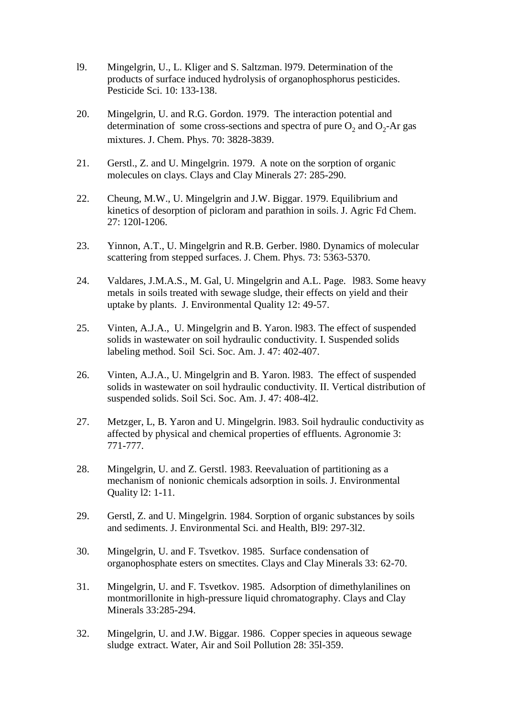- l9. Mingelgrin, U., L. Kliger and S. Saltzman. l979. Determination of the products of surface induced hydrolysis of organophosphorus pesticides. Pesticide Sci. 10: 133-138.
- 20. Mingelgrin, U. and R.G. Gordon. 1979. The interaction potential and determination of some cross-sections and spectra of pure  $O_2$  and  $O_2$ -Ar gas mixtures. J. Chem. Phys. 70: 3828-3839.
- 21. Gerstl., Z. and U. Mingelgrin. 1979. A note on the sorption of organic molecules on clays. Clays and Clay Minerals 27: 285-290.
- 22. Cheung, M.W., U. Mingelgrin and J.W. Biggar. 1979. Equilibrium and kinetics of desorption of picloram and parathion in soils. J. Agric Fd Chem. 27: 120l-1206.
- 23. Yinnon, A.T., U. Mingelgrin and R.B. Gerber. l980. Dynamics of molecular scattering from stepped surfaces. J. Chem. Phys. 73: 5363-5370.
- 24. Valdares, J.M.A.S., M. Gal, U. Mingelgrin and A.L. Page. l983. Some heavy metals in soils treated with sewage sludge, their effects on yield and their uptake by plants. J. Environmental Quality 12: 49-57.
- 25. Vinten, A.J.A., U. Mingelgrin and B. Yaron. l983. The effect of suspended solids in wastewater on soil hydraulic conductivity. I. Suspended solids labeling method. Soil Sci. Soc. Am. J. 47: 402-407.
- 26. Vinten, A.J.A., U. Mingelgrin and B. Yaron. l983. The effect of suspended solids in wastewater on soil hydraulic conductivity. II. Vertical distribution of suspended solids. Soil Sci. Soc. Am. J. 47: 408-4l2.
- 27. Metzger, L, B. Yaron and U. Mingelgrin. l983. Soil hydraulic conductivity as affected by physical and chemical properties of effluents. Agronomie 3: 771-777.
- 28. Mingelgrin, U. and Z. Gerstl. 1983. Reevaluation of partitioning as a mechanism of nonionic chemicals adsorption in soils. J. Environmental Quality l2: 1-11.
- 29. Gerstl, Z. and U. Mingelgrin. 1984. Sorption of organic substances by soils and sediments. J. Environmental Sci. and Health, Bl9: 297-3l2.
- 30. Mingelgrin, U. and F. Tsvetkov. 1985. Surface condensation of organophosphate esters on smectites. Clays and Clay Minerals 33: 62-70.
- 31. Mingelgrin, U. and F. Tsvetkov. 1985. Adsorption of dimethylanilines on montmorillonite in high-pressure liquid chromatography. Clays and Clay Minerals 33:285-294.
- 32. Mingelgrin, U. and J.W. Biggar. 1986. Copper species in aqueous sewage sludge extract. Water, Air and Soil Pollution 28: 35l-359.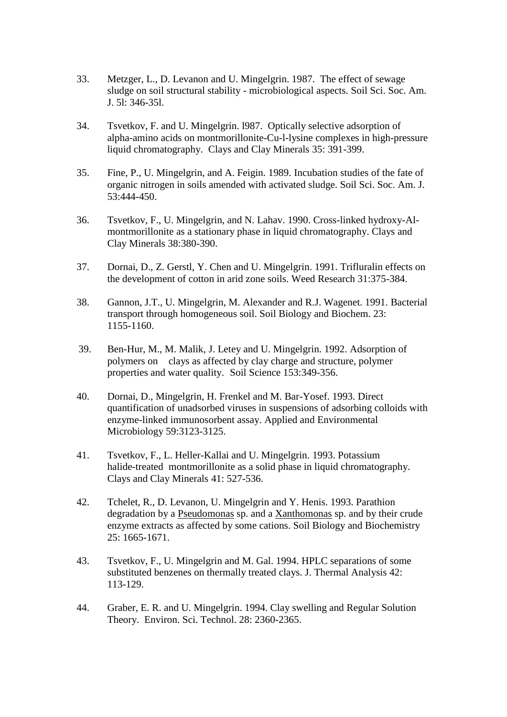- 33. Metzger, L., D. Levanon and U. Mingelgrin. 1987. The effect of sewage sludge on soil structural stability - microbiological aspects. Soil Sci. Soc. Am. J. 5l: 346-35l.
- 34. Tsvetkov, F. and U. Mingelgrin. l987. Optically selective adsorption of alpha-amino acids on montmorillonite-Cu-l-lysine complexes in high-pressure liquid chromatography. Clays and Clay Minerals 35: 391-399.
- 35. Fine, P., U. Mingelgrin, and A. Feigin. 1989. Incubation studies of the fate of organic nitrogen in soils amended with activated sludge. Soil Sci. Soc. Am. J. 53:444-450.
- 36. Tsvetkov, F., U. Mingelgrin, and N. Lahav. 1990. Cross-linked hydroxy-Almontmorillonite as a stationary phase in liquid chromatography. Clays and Clay Minerals 38:380-390.
- 37. Dornai, D., Z. Gerstl, Y. Chen and U. Mingelgrin. 1991. Trifluralin effects on the development of cotton in arid zone soils. Weed Research 31:375-384.
- 38. Gannon, J.T., U. Mingelgrin, M. Alexander and R.J. Wagenet. 1991. Bacterial transport through homogeneous soil. Soil Biology and Biochem. 23: 1155-1160.
- 39. Ben-Hur, M., M. Malik, J. Letey and U. Mingelgrin. 1992. Adsorption of polymers on clays as affected by clay charge and structure, polymer properties and water quality. Soil Science 153:349-356.
- 40. Dornai, D., Mingelgrin, H. Frenkel and M. Bar-Yosef. 1993. Direct quantification of unadsorbed viruses in suspensions of adsorbing colloids with enzyme-linked immunosorbent assay. Applied and Environmental Microbiology 59:3123-3125.
- 41. Tsvetkov, F., L. Heller-Kallai and U. Mingelgrin. 1993. Potassium halide-treated montmorillonite as a solid phase in liquid chromatography. Clays and Clay Minerals 41: 527-536.
- 42. Tchelet, R., D. Levanon, U. Mingelgrin and Y. Henis. 1993. Parathion degradation by a Pseudomonas sp. and a Xanthomonas sp. and by their crude enzyme extracts as affected by some cations. Soil Biology and Biochemistry 25: 1665-1671.
- 43. Tsvetkov, F., U. Mingelgrin and M. Gal. 1994. HPLC separations of some substituted benzenes on thermally treated clays. J. Thermal Analysis 42: 113-129.
- 44. Graber, E. R. and U. Mingelgrin. 1994. Clay swelling and Regular Solution Theory. Environ. Sci. Technol. 28: 2360-2365.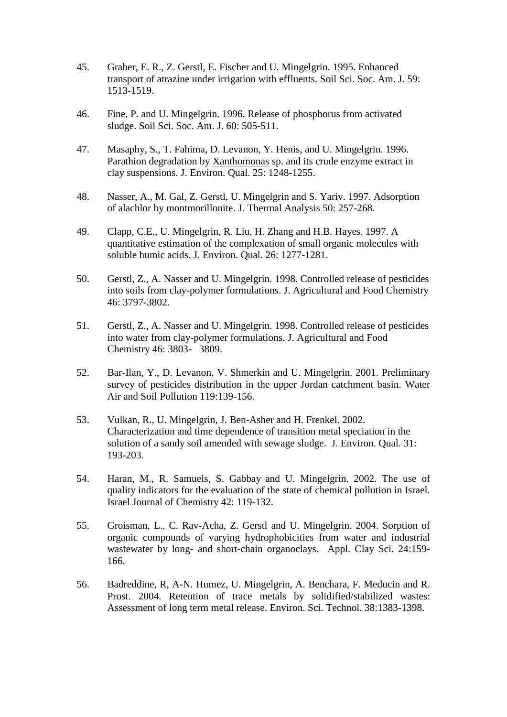- 45. Graber, E. R., Z. Gerstl, E. Fischer and U. Mingelgrin. 1995. Enhanced transport of atrazine under irrigation with effluents. Soil Sci. Soc. Am. J. 59: 1513-1519.
- 46. Fine, P. and U. Mingelgrin. 1996. Release of phosphorus from activated sludge. Soil Sci. Soc. Am. J. 60: 505-511.
- 47. Masaphy, S., T. Fahima, D. Levanon, Y. Henis, and U. Mingelgrin. 1996. Parathion degradation by Xanthomonas sp. and its crude enzyme extract in clay suspensions. J. Environ. Qual. 25: 1248-1255.
- 48. Nasser, A., M. Gal, Z. Gerstl, U. Mingelgrin and S. Yariv. 1997. Adsorption of alachlor by montmorillonite. J. Thermal Analysis 50: 257-268.
- 49. Clapp, C.E., U. Mingelgrin, R. Liu, H. Zhang and H.B. Hayes. 1997. A quantitative estimation of the complexation of small organic molecules with soluble humic acids. J. Environ. Qual. 26: 1277-1281.
- 50. Gerstl, Z., A. Nasser and U. Mingelgrin. 1998. Controlled release of pesticides into soils from clay-polymer formulations. J. Agricultural and Food Chemistry 46: 3797-3802.
- 51. Gerstl, Z., A. Nasser and U. Mingelgrin. 1998. Controlled release of pesticides into water from clay-polymer formulations. J. Agricultural and Food Chemistry 46: 3803- 3809.
- 52. Bar-Ilan, Y., D. Levanon, V. Shmerkin and U. Mingelgrin. 2001. Preliminary survey of pesticides distribution in the upper Jordan catchment basin. Water Air and Soil Pollution 119:139-156.
- 53. Vulkan, R., U. Mingelgrin, J. Ben-Asher and H. Frenkel. 2002. Characterization and time dependence of transition metal speciation in the solution of a sandy soil amended with sewage sludge. J. Environ. Qual. 31: 193-203.
- 54. Haran, M., R. Samuels, S. Gabbay and U. Mingelgrin. 2002. The use of quality indicators for the evaluation of the state of chemical pollution in Israel. Israel Journal of Chemistry 42: 119-132.
- 55. Groisman, L., C. Rav-Acha, Z. Gerstl and U. Mingelgrin. 2004. Sorption of organic compounds of varying hydrophobicities from water and industrial wastewater by long- and short-chain organoclays. Appl. Clay Sci. 24:159- 166.
- 56. Badreddine, R, A-N. Humez, U. Mingelgrin, A. Benchara, F. Meducin and R. Prost. 2004. Retention of trace metals by solidified/stabilized wastes: Assessment of long term metal release. Environ. Sci. Technol. 38:1383-1398.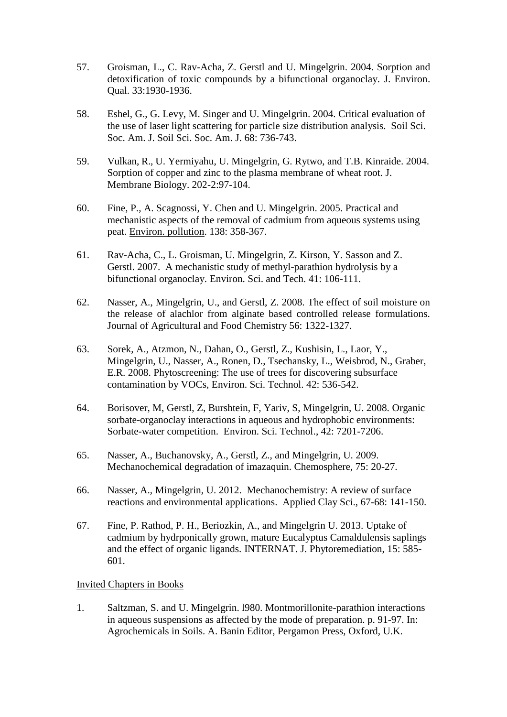- 57. Groisman, L., C. Rav-Acha, Z. Gerstl and U. Mingelgrin. 2004. Sorption and detoxification of toxic compounds by a bifunctional organoclay. J. Environ. Qual. 33:1930-1936.
- 58. Eshel, G., G. Levy, M. Singer and U. Mingelgrin. 2004. Critical evaluation of the use of laser light scattering for particle size distribution analysis. Soil Sci. Soc. Am. J. Soil Sci. Soc. Am. J. 68: 736-743.
- 59. Vulkan, R., U. Yermiyahu, U. Mingelgrin, G. Rytwo, and T.B. Kinraide. 2004. Sorption of copper and zinc to the plasma membrane of wheat root. J. Membrane Biology. 202-2:97-104.
- 60. Fine, P., A. Scagnossi, Y. Chen and U. Mingelgrin. 2005. Practical and mechanistic aspects of the removal of cadmium from aqueous systems using peat. [Environ. pollution.](http://webspirs.ziur.co.il/webspirs/doLS.ws?ss=Environmental+pollution+in+SO) 138: 358-367.
- 61. Rav-Acha, C., L. Groisman, U. Mingelgrin, Z. Kirson, Y. Sasson and Z. Gerstl. 2007. A mechanistic study of methyl-parathion hydrolysis by a bifunctional organoclay. Environ. Sci. and Tech. 41: 106-111.
- 62. Nasser, A., Mingelgrin, U., and Gerstl, Z. 2008. The effect of soil moisture on the release of alachlor from alginate based controlled release formulations. Journal of Agricultural and Food Chemistry 56: 1322-1327.
- 63. Sorek, A., Atzmon, N., Dahan, O., Gerstl, Z., Kushisin, L., Laor, Y., Mingelgrin, U., Nasser, A., Ronen, D., Tsechansky, L., Weisbrod, N., Graber, E.R. 2008. Phytoscreening: The use of trees for discovering subsurface contamination by VOCs, Environ. Sci. Technol. 42: 536-542.
- 64. Borisover, M, Gerstl, Z, Burshtein, F, Yariv, S, Mingelgrin, U. 2008. Organic sorbate-organoclay interactions in aqueous and hydrophobic environments: Sorbate-water competition. Environ. Sci. Technol., 42: 7201-7206.
- 65. Nasser, A., Buchanovsky, A., Gerstl, Z., and Mingelgrin, U. 2009. Mechanochemical degradation of imazaquin. Chemosphere, 75: 20-27.
- 66. Nasser, A., Mingelgrin, U. 2012. [Mechanochemistry: A review of surface](http://apps.webofknowledge.com/full_record.do?product=WOS&search_mode=GeneralSearch&qid=1&SID=S2DEj3nIBGM3g1lcndE&page=1&doc=2)  [reactions and environmental applications.](http://apps.webofknowledge.com/full_record.do?product=WOS&search_mode=GeneralSearch&qid=1&SID=S2DEj3nIBGM3g1lcndE&page=1&doc=2) Applied Clay Sci., 67-68: 141-150.
- 67. Fine, P. Rathod, P. H., Beriozkin, A., and Mingelgrin U. 2013. Uptake of cadmium [by hydrponically grown, mature](http://apps.webofknowledge.com/full_record.do?product=WOS&search_mode=GeneralSearch&qid=1&SID=S2DEj3nIBGM3g1lcndE&page=1&doc=1) Eucalyptus Camaldulensis saplings [and the effect of organic ligands.](http://apps.webofknowledge.com/full_record.do?product=WOS&search_mode=GeneralSearch&qid=1&SID=S2DEj3nIBGM3g1lcndE&page=1&doc=1) INTERNAT. J. Phytoremediation, 15: 585- 601.

#### Invited Chapters in Books

1. Saltzman, S. and U. Mingelgrin. l980. Montmorillonite-parathion interactions in aqueous suspensions as affected by the mode of preparation. p. 91-97. In: Agrochemicals in Soils. A. Banin Editor, Pergamon Press, Oxford, U.K.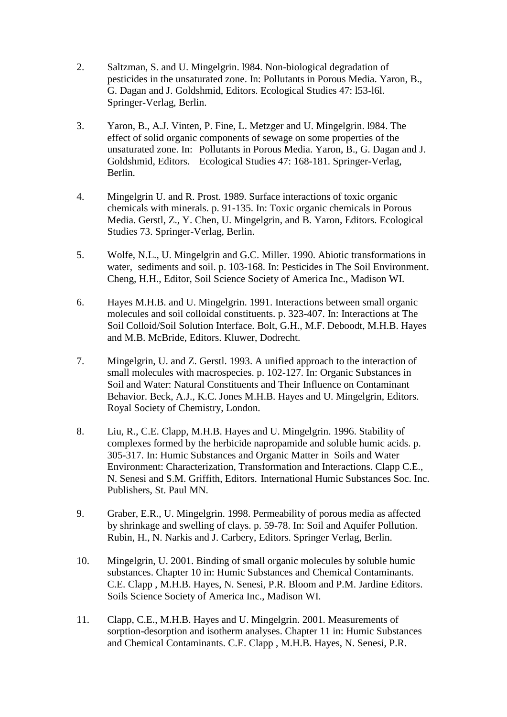- 2. Saltzman, S. and U. Mingelgrin. l984. Non-biological degradation of pesticides in the unsaturated zone. In: Pollutants in Porous Media. Yaron, B., G. Dagan and J. Goldshmid, Editors. Ecological Studies 47: l53-l6l. Springer-Verlag, Berlin.
- 3. Yaron, B., A.J. Vinten, P. Fine, L. Metzger and U. Mingelgrin. l984. The effect of solid organic components of sewage on some properties of the unsaturated zone. In: Pollutants in Porous Media. Yaron, B., G. Dagan and J. Goldshmid, Editors. Ecological Studies 47: 168-181. Springer-Verlag, Berlin.
- 4. Mingelgrin U. and R. Prost. 1989. Surface interactions of toxic organic chemicals with minerals. p. 91-135. In: Toxic organic chemicals in Porous Media. Gerstl, Z., Y. Chen, U. Mingelgrin, and B. Yaron, Editors. Ecological Studies 73. Springer-Verlag, Berlin.
- 5. Wolfe, N.L., U. Mingelgrin and G.C. Miller. 1990. Abiotic transformations in water, sediments and soil. p. 103-168. In: Pesticides in The Soil Environment. Cheng, H.H., Editor, Soil Science Society of America Inc., Madison WI.
- 6. Hayes M.H.B. and U. Mingelgrin. 1991. Interactions between small organic molecules and soil colloidal constituents. p. 323-407. In: Interactions at The Soil Colloid/Soil Solution Interface. Bolt, G.H., M.F. Deboodt, M.H.B. Hayes and M.B. McBride, Editors. Kluwer, Dodrecht.
- 7. Mingelgrin, U. and Z. Gerstl. 1993. A unified approach to the interaction of small molecules with macrospecies. p. 102-127. In: Organic Substances in Soil and Water: Natural Constituents and Their Influence on Contaminant Behavior. Beck, A.J., K.C. Jones M.H.B. Hayes and U. Mingelgrin, Editors. Royal Society of Chemistry, London.
- 8. Liu, R., C.E. Clapp, M.H.B. Hayes and U. Mingelgrin. 1996. Stability of complexes formed by the herbicide napropamide and soluble humic acids. p. 305-317. In: Humic Substances and Organic Matter in Soils and Water Environment: Characterization, Transformation and Interactions. Clapp C.E., N. Senesi and S.M. Griffith, Editors. International Humic Substances Soc. Inc. Publishers, St. Paul MN.
- 9. Graber, E.R., U. Mingelgrin. 1998. Permeability of porous media as affected by shrinkage and swelling of clays. p. 59-78. In: Soil and Aquifer Pollution. Rubin, H., N. Narkis and J. Carbery, Editors. Springer Verlag, Berlin.
- 10. Mingelgrin, U. 2001. Binding of small organic molecules by soluble humic substances. Chapter 10 in: Humic Substances and Chemical Contaminants. C.E. Clapp , M.H.B. Hayes, N. Senesi, P.R. Bloom and P.M. Jardine Editors. Soils Science Society of America Inc., Madison WI.
- 11. Clapp, C.E., M.H.B. Hayes and U. Mingelgrin. 2001. Measurements of sorption-desorption and isotherm analyses. Chapter 11 in: Humic Substances and Chemical Contaminants. C.E. Clapp , M.H.B. Hayes, N. Senesi, P.R.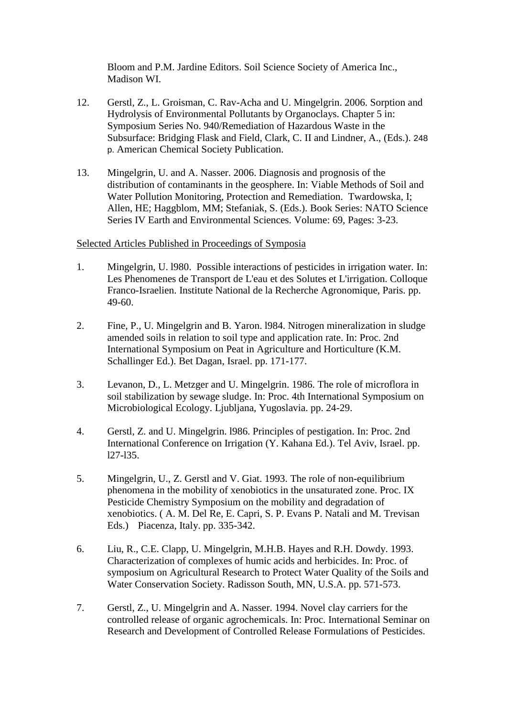Bloom and P.M. Jardine Editors. Soil Science Society of America Inc., Madison WI.

- 12. Gerstl, Z., L. Groisman, C. Rav-Acha and U. Mingelgrin. 2006. Sorption and Hydrolysis of Environmental Pollutants by Organoclays. Chapter 5 in: Symposium Series No. 940/Remediation of Hazardous Waste in the Subsurface: Bridging Flask and Field, Clark, C. II and Lindner, A., (Eds.). 248 p. American Chemical Society Publication.
- 13. Mingelgrin, U. and A. Nasser. 2006. Diagnosis and prognosis of the distribution of contaminants in the geosphere. In: Viable Methods of Soil and Water Pollution Monitoring, Protection and Remediation. Twardowska, I; Allen, HE; Haggblom, MM; Stefaniak, S. (Eds.). Book Series: NATO Science Series IV Earth and Environmental Sciences. Volume: 69, Pages: 3-23.

#### Selected Articles Published in Proceedings of Symposia

- 1. Mingelgrin, U. l980. Possible interactions of pesticides in irrigation water. In: Les Phenomenes de Transport de L'eau et des Solutes et L'irrigation. Colloque Franco-Israelien. Institute National de la Recherche Agronomique, Paris. pp. 49-60.
- 2. Fine, P., U. Mingelgrin and B. Yaron. l984. Nitrogen mineralization in sludge amended soils in relation to soil type and application rate. In: Proc. 2nd International Symposium on Peat in Agriculture and Horticulture (K.M. Schallinger Ed.). Bet Dagan, Israel. pp. 171-177.
- 3. Levanon, D., L. Metzger and U. Mingelgrin. 1986. The role of microflora in soil stabilization by sewage sludge. In: Proc. 4th International Symposium on Microbiological Ecology. Ljubljana, Yugoslavia. pp. 24-29.
- 4. Gerstl, Z. and U. Mingelgrin. l986. Principles of pestigation. In: Proc. 2nd International Conference on Irrigation (Y. Kahana Ed.). Tel Aviv, Israel. pp. l27-l35.
- 5. Mingelgrin, U., Z. Gerstl and V. Giat. 1993. The role of non-equilibrium phenomena in the mobility of xenobiotics in the unsaturated zone. Proc. IX Pesticide Chemistry Symposium on the mobility and degradation of xenobiotics. ( A. M. Del Re, E. Capri, S. P. Evans P. Natali and M. Trevisan Eds.) Piacenza, Italy. pp. 335-342.
- 6. Liu, R., C.E. Clapp, U. Mingelgrin, M.H.B. Hayes and R.H. Dowdy. 1993. Characterization of complexes of humic acids and herbicides. In: Proc. of symposium on Agricultural Research to Protect Water Quality of the Soils and Water Conservation Society. Radisson South, MN, U.S.A. pp. 571-573.
- 7. Gerstl, Z., U. Mingelgrin and A. Nasser. 1994. Novel clay carriers for the controlled release of organic agrochemicals. In: Proc. International Seminar on Research and Development of Controlled Release Formulations of Pesticides.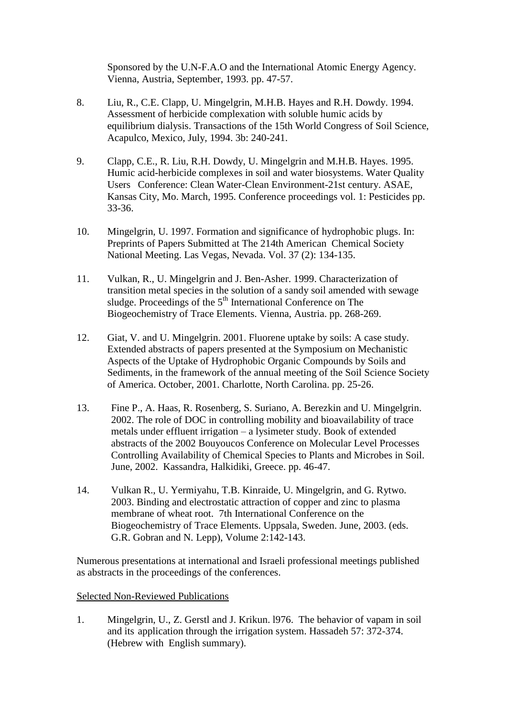Sponsored by the U.N-F.A.O and the International Atomic Energy Agency. Vienna, Austria, September, 1993. pp. 47-57.

- 8. Liu, R., C.E. Clapp, U. Mingelgrin, M.H.B. Hayes and R.H. Dowdy. 1994. Assessment of herbicide complexation with soluble humic acids by equilibrium dialysis. Transactions of the 15th World Congress of Soil Science, Acapulco, Mexico, July, 1994. 3b: 240-241.
- 9. Clapp, C.E., R. Liu, R.H. Dowdy, U. Mingelgrin and M.H.B. Hayes. 1995. Humic acid-herbicide complexes in soil and water biosystems. Water Quality Users Conference: Clean Water-Clean Environment-21st century. ASAE, Kansas City, Mo. March, 1995. Conference proceedings vol. 1: Pesticides pp. 33-36.
- 10. Mingelgrin, U. 1997. Formation and significance of hydrophobic plugs. In: Preprints of Papers Submitted at The 214th American Chemical Society National Meeting. Las Vegas, Nevada. Vol. 37 (2): 134-135.
- 11. Vulkan, R., U. Mingelgrin and J. Ben-Asher. 1999. Characterization of transition metal species in the solution of a sandy soil amended with sewage sludge. Proceedings of the 5<sup>th</sup> International Conference on The Biogeochemistry of Trace Elements. Vienna, Austria. pp. 268-269.
- 12. Giat, V. and U. Mingelgrin. 2001. Fluorene uptake by soils: A case study. Extended abstracts of papers presented at the Symposium on Mechanistic Aspects of the Uptake of Hydrophobic Organic Compounds by Soils and Sediments, in the framework of the annual meeting of the Soil Science Society of America. October, 2001. Charlotte, North Carolina. pp. 25-26.
- 13. Fine P., A. Haas, R. Rosenberg, S. Suriano, A. Berezkin and U. Mingelgrin. 2002. The role of DOC in controlling mobility and bioavailability of trace metals under effluent irrigation – a lysimeter study. Book of extended abstracts of the 2002 Bouyoucos Conference on Molecular Level Processes Controlling Availability of Chemical Species to Plants and Microbes in Soil. June, 2002. Kassandra, Halkidiki, Greece. pp. 46-47.
- 14. Vulkan R., U. Yermiyahu, T.B. Kinraide, U. Mingelgrin, and G. Rytwo. 2003. Binding and electrostatic attraction of copper and zinc to plasma membrane of wheat root. 7th International Conference on the Biogeochemistry of Trace Elements. Uppsala, Sweden. June, 2003. (eds. G.R. Gobran and N. Lepp), Volume 2:142-143.

Numerous presentations at international and Israeli professional meetings published as abstracts in the proceedings of the conferences.

#### Selected Non-Reviewed Publications

1. Mingelgrin, U., Z. Gerstl and J. Krikun. l976. The behavior of vapam in soil and its application through the irrigation system. Hassadeh 57: 372-374. (Hebrew with English summary).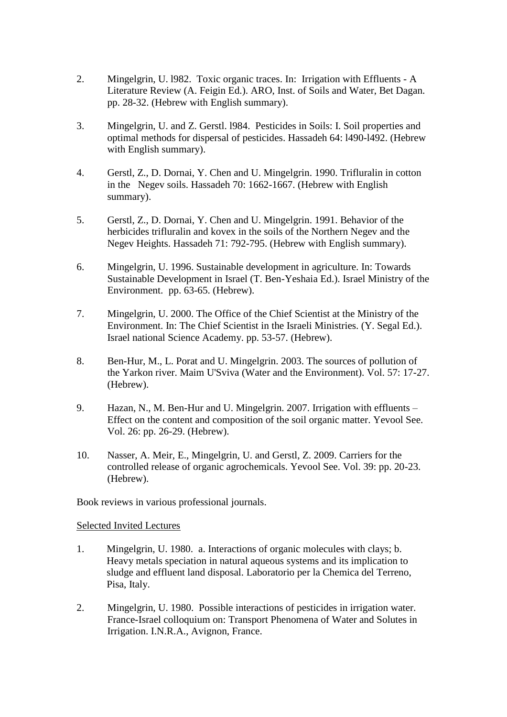- 2. Mingelgrin, U. l982. Toxic organic traces. In: Irrigation with Effluents A Literature Review (A. Feigin Ed.). ARO, Inst. of Soils and Water, Bet Dagan. pp. 28-32. (Hebrew with English summary).
- 3. Mingelgrin, U. and Z. Gerstl. l984. Pesticides in Soils: I. Soil properties and optimal methods for dispersal of pesticides. Hassadeh 64: l490-l492. (Hebrew with English summary).
- 4. Gerstl, Z., D. Dornai, Y. Chen and U. Mingelgrin. 1990. Trifluralin in cotton in the Negev soils. Hassadeh 70: 1662-1667. (Hebrew with English summary).
- 5. Gerstl, Z., D. Dornai, Y. Chen and U. Mingelgrin. 1991. Behavior of the herbicides trifluralin and kovex in the soils of the Northern Negev and the Negev Heights. Hassadeh 71: 792-795. (Hebrew with English summary).
- 6. Mingelgrin, U. 1996. Sustainable development in agriculture. In: Towards Sustainable Development in Israel (T. Ben-Yeshaia Ed.). Israel Ministry of the Environment. pp. 63-65. (Hebrew).
- 7. Mingelgrin, U. 2000. The Office of the Chief Scientist at the Ministry of the Environment. In: The Chief Scientist in the Israeli Ministries. (Y. Segal Ed.). Israel national Science Academy. pp. 53-57. (Hebrew).
- 8. Ben-Hur, M., L. Porat and U. Mingelgrin. 2003. The sources of pollution of the Yarkon river. Maim U'Sviva (Water and the Environment). Vol. 57: 17-27. (Hebrew).
- 9. Hazan, N., M. Ben-Hur and U. Mingelgrin. 2007. Irrigation with effluents Effect on the content and composition of the soil organic matter. Yevool See. Vol. 26: pp. 26-29. (Hebrew).
- 10. Nasser, A. Meir, E., Mingelgrin, U. and Gerstl, Z. 2009. Carriers for the controlled release of organic agrochemicals. Yevool See. Vol. 39: pp. 20-23. (Hebrew).

Book reviews in various professional journals.

Selected Invited Lectures

- 1. Mingelgrin, U. 1980. a. Interactions of organic molecules with clays; b. Heavy metals speciation in natural aqueous systems and its implication to sludge and effluent land disposal. Laboratorio per la Chemica del Terreno, Pisa, Italy.
- 2. Mingelgrin, U. 1980. Possible interactions of pesticides in irrigation water. France-Israel colloquium on: Transport Phenomena of Water and Solutes in Irrigation. I.N.R.A., Avignon, France.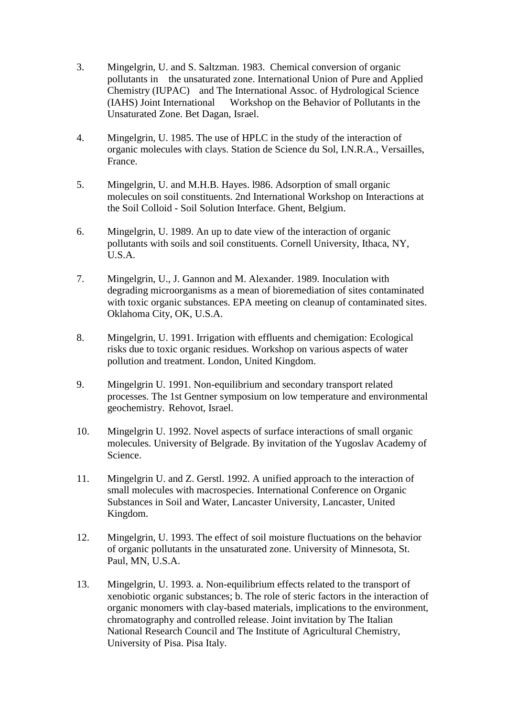- 3. Mingelgrin, U. and S. Saltzman. 1983. Chemical conversion of organic pollutants in the unsaturated zone. International Union of Pure and Applied Chemistry (IUPAC) and The International Assoc. of Hydrological Science (IAHS) Joint International Workshop on the Behavior of Pollutants in the Unsaturated Zone. Bet Dagan, Israel.
- 4. Mingelgrin, U. 1985. The use of HPLC in the study of the interaction of organic molecules with clays. Station de Science du Sol, I.N.R.A., Versailles, France.
- 5. Mingelgrin, U. and M.H.B. Hayes. l986. Adsorption of small organic molecules on soil constituents. 2nd International Workshop on Interactions at the Soil Colloid - Soil Solution Interface. Ghent, Belgium.
- 6. Mingelgrin, U. 1989. An up to date view of the interaction of organic pollutants with soils and soil constituents. Cornell University, Ithaca, NY, U.S.A.
- 7. Mingelgrin, U., J. Gannon and M. Alexander. 1989. Inoculation with degrading microorganisms as a mean of bioremediation of sites contaminated with toxic organic substances. EPA meeting on cleanup of contaminated sites. Oklahoma City, OK, U.S.A.
- 8. Mingelgrin, U. 1991. Irrigation with effluents and chemigation: Ecological risks due to toxic organic residues. Workshop on various aspects of water pollution and treatment. London, United Kingdom.
- 9. Mingelgrin U. 1991. Non-equilibrium and secondary transport related processes. The 1st Gentner symposium on low temperature and environmental geochemistry. Rehovot, Israel.
- 10. Mingelgrin U. 1992. Novel aspects of surface interactions of small organic molecules. University of Belgrade. By invitation of the Yugoslav Academy of Science.
- 11. Mingelgrin U. and Z. Gerstl. 1992. A unified approach to the interaction of small molecules with macrospecies. International Conference on Organic Substances in Soil and Water, Lancaster University, Lancaster, United Kingdom.
- 12. Mingelgrin, U. 1993. The effect of soil moisture fluctuations on the behavior of organic pollutants in the unsaturated zone. University of Minnesota, St. Paul, MN, U.S.A.
- 13. Mingelgrin, U. 1993. a. Non-equilibrium effects related to the transport of xenobiotic organic substances; b. The role of steric factors in the interaction of organic monomers with clay-based materials, implications to the environment, chromatography and controlled release. Joint invitation by The Italian National Research Council and The Institute of Agricultural Chemistry, University of Pisa. Pisa Italy.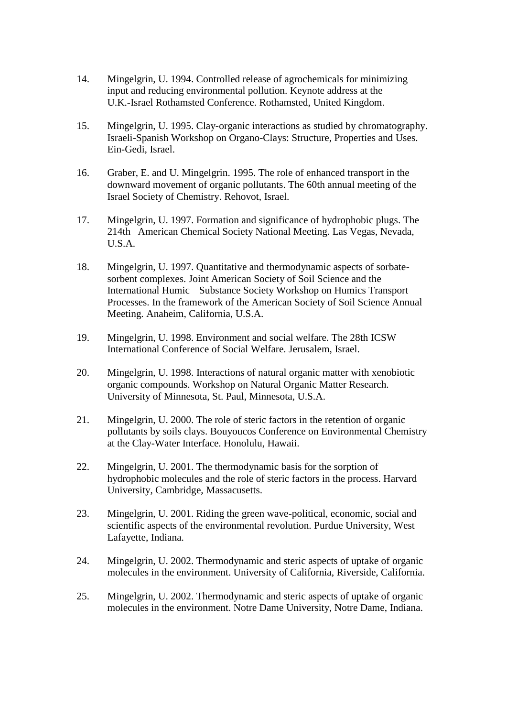- 14. Mingelgrin, U. 1994. Controlled release of agrochemicals for minimizing input and reducing environmental pollution. Keynote address at the U.K.-Israel Rothamsted Conference. Rothamsted, United Kingdom.
- 15. Mingelgrin, U. 1995. Clay-organic interactions as studied by chromatography. Israeli-Spanish Workshop on Organo-Clays: Structure, Properties and Uses. Ein-Gedi, Israel.
- 16. Graber, E. and U. Mingelgrin. 1995. The role of enhanced transport in the downward movement of organic pollutants. The 60th annual meeting of the Israel Society of Chemistry. Rehovot, Israel.
- 17. Mingelgrin, U. 1997. Formation and significance of hydrophobic plugs. The 214th American Chemical Society National Meeting. Las Vegas, Nevada, U.S.A.
- 18. Mingelgrin, U. 1997. Quantitative and thermodynamic aspects of sorbatesorbent complexes. Joint American Society of Soil Science and the International Humic Substance Society Workshop on Humics Transport Processes. In the framework of the American Society of Soil Science Annual Meeting. Anaheim, California, U.S.A.
- 19. Mingelgrin, U. 1998. Environment and social welfare. The 28th ICSW International Conference of Social Welfare. Jerusalem, Israel.
- 20. Mingelgrin, U. 1998. Interactions of natural organic matter with xenobiotic organic compounds. Workshop on Natural Organic Matter Research. University of Minnesota, St. Paul, Minnesota, U.S.A.
- 21. Mingelgrin, U. 2000. The role of steric factors in the retention of organic pollutants by soils clays. Bouyoucos Conference on Environmental Chemistry at the Clay-Water Interface. Honolulu, Hawaii.
- 22. Mingelgrin, U. 2001. The thermodynamic basis for the sorption of hydrophobic molecules and the role of steric factors in the process. Harvard University, Cambridge, Massacusetts.
- 23. Mingelgrin, U. 2001. Riding the green wave-political, economic, social and scientific aspects of the environmental revolution. Purdue University, West Lafayette, Indiana.
- 24. Mingelgrin, U. 2002. Thermodynamic and steric aspects of uptake of organic molecules in the environment. University of California, Riverside, California.
- 25. Mingelgrin, U. 2002. Thermodynamic and steric aspects of uptake of organic molecules in the environment. Notre Dame University, Notre Dame, Indiana.